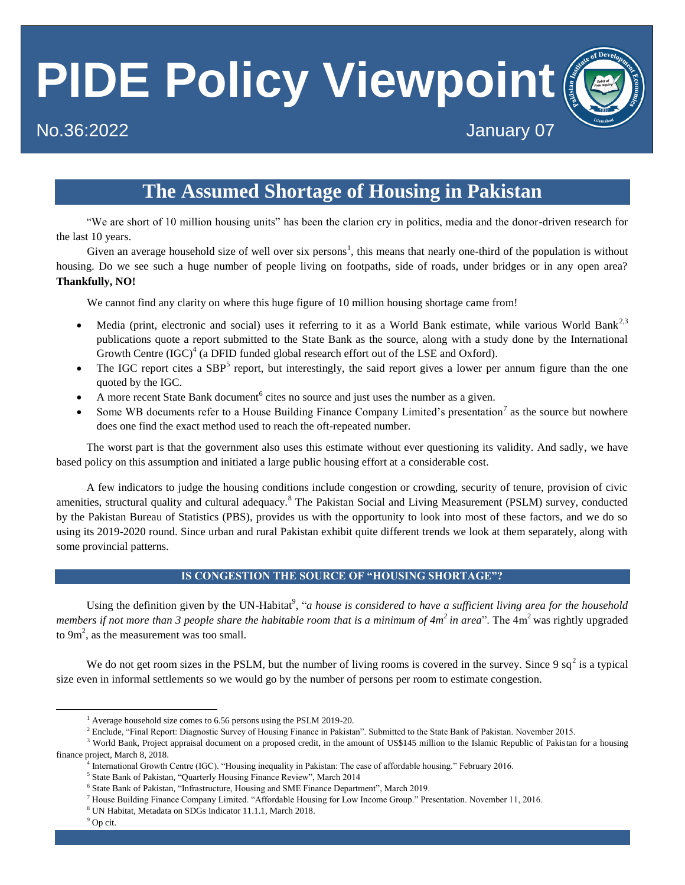# **PIDE Policy Viewpoint**

# No.36:2022 January 07

# **The Assumed Shortage of Housing in Pakistan**

"We are short of 10 million housing units" has been the clarion cry in politics, media and the donor-driven research for the last 10 years.

Given an average household size of well over six persons<sup>1</sup>, this means that nearly one-third of the population is without housing. Do we see such a huge number of people living on footpaths, side of roads, under bridges or in any open area? **Thankfully, NO!**

We cannot find any clarity on where this huge figure of 10 million housing shortage came from!

- $\bullet$  Media (print, electronic and social) uses it referring to it as a World Bank estimate, while various World Bank<sup>2,3</sup> publications quote a report submitted to the State Bank as the source, along with a study done by the International Growth Centre  $(IGC)^4$  (a DFID funded global research effort out of the LSE and Oxford).
- The IGC report cites a  $SBP<sup>5</sup>$  report, but interestingly, the said report gives a lower per annum figure than the one quoted by the IGC.
- A more recent State Bank document<sup>6</sup> cites no source and just uses the number as a given.
- Some WB documents refer to a House Building Finance Company Limited's presentation<sup>7</sup> as the source but nowhere does one find the exact method used to reach the oft-repeated number.

The worst part is that the government also uses this estimate without ever questioning its validity. And sadly, we have based policy on this assumption and initiated a large public housing effort at a considerable cost.

A few indicators to judge the housing conditions include congestion or crowding, security of tenure, provision of civic amenities, structural quality and cultural adequacy.<sup>8</sup> The Pakistan Social and Living Measurement (PSLM) survey, conducted by the Pakistan Bureau of Statistics (PBS), provides us with the opportunity to look into most of these factors, and we do so using its 2019-2020 round. Since urban and rural Pakistan exhibit quite different trends we look at them separately, along with some provincial patterns.

# **IS CONGESTION THE SOURCE OF "HOUSING SHORTAGE"?**

Using the definition given by the UN-Habitat<sup>9</sup>, "*a house is considered to have a sufficient living area for the household members if not more than 3 people share the habitable room that is a minimum of 4m<sup>2</sup> in area". The 4m<sup>2</sup> was rightly upgraded* to  $9m^2$ , as the measurement was too small.

We do not get room sizes in the PSLM, but the number of living rooms is covered in the survey. Since 9  $sq^2$  is a typical size even in informal settlements so we would go by the number of persons per room to estimate congestion.

 $\ddot{\phantom{a}}$ 

<sup>&</sup>lt;sup>1</sup> Average household size comes to 6.56 persons using the PSLM 2019-20.

<sup>&</sup>lt;sup>2</sup> Enclude, "Final Report: Diagnostic Survey of Housing Finance in Pakistan". Submitted to the State Bank of Pakistan. November 2015.

<sup>&</sup>lt;sup>3</sup> World Bank, Project appraisal document on a proposed credit, in the amount of US\$145 million to the Islamic Republic of Pakistan for a housing finance project, March 8, 2018.

<sup>4</sup> International Growth Centre (IGC). "Housing inequality in Pakistan: The case of affordable housing." February 2016.

<sup>&</sup>lt;sup>5</sup> State Bank of Pakistan, "Quarterly Housing Finance Review", March 2014

<sup>&</sup>lt;sup>6</sup> State Bank of Pakistan, "Infrastructure, Housing and SME Finance Department", March 2019.

<sup>7</sup> House Building Finance Company Limited. "Affordable Housing for Low Income Group." Presentation. November 11, 2016.

<sup>8</sup> UN Habitat, Metadata on SDGs Indicator 11.1.1, March 2018.

<sup>9</sup> Op cit.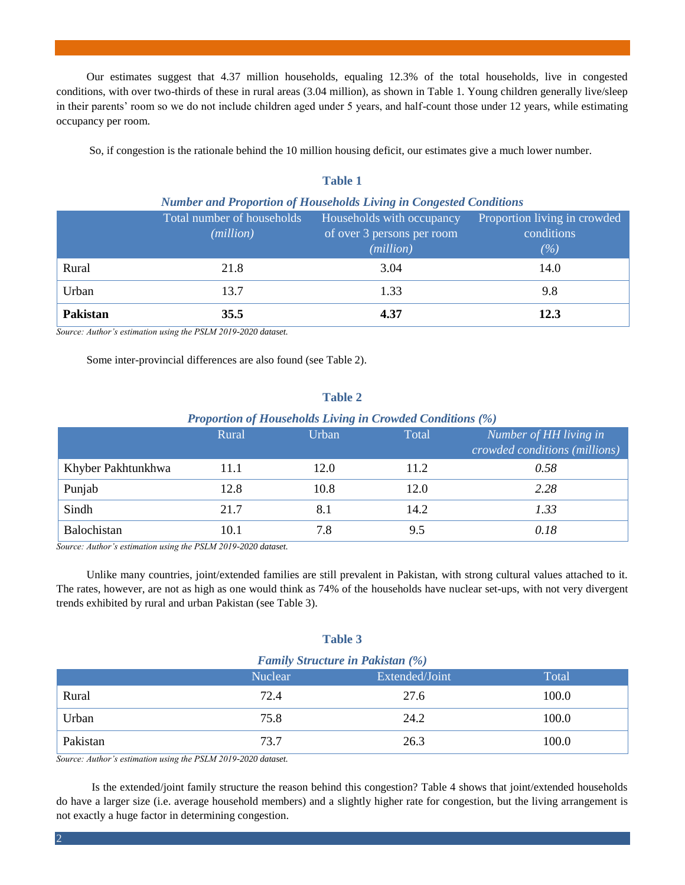Our estimates suggest that 4.37 million households, equaling 12.3% of the total households, live in congested conditions, with over two-thirds of these in rural areas (3.04 million), as shown in Table 1. Young children generally live/sleep in their parents' room so we do not include children aged under 5 years, and half-count those under 12 years, while estimating occupancy per room.

So, if congestion is the rationale behind the 10 million housing deficit, our estimates give a much lower number.

| <b>Number and Proportion of Households Living in Congested Conditions</b> |                                         |                                                                      |                                                      |  |  |
|---------------------------------------------------------------------------|-----------------------------------------|----------------------------------------------------------------------|------------------------------------------------------|--|--|
|                                                                           | Total number of households<br>(million) | Households with occupancy<br>of over 3 persons per room<br>(million) | Proportion living in crowded<br>conditions<br>$(\%)$ |  |  |
| Rural                                                                     | 21.8                                    | 3.04                                                                 | 14.0                                                 |  |  |
| Urban                                                                     | 13.7                                    | 1.33                                                                 | 9.8                                                  |  |  |
| <b>Pakistan</b>                                                           | 35.5                                    | 4.37                                                                 | 12.3                                                 |  |  |

# **Table 1**

*Source: Author's estimation using the PSLM 2019-2020 dataset.* 

Some inter-provincial differences are also found (see Table 2).

#### **Table 2**

#### *Proportion of Households Living in Crowded Conditions (%)*

|                    | Rural | Urban | Total | Number of HH living in<br>crowded conditions (millions) |
|--------------------|-------|-------|-------|---------------------------------------------------------|
| Khyber Pakhtunkhwa | 11.1  | 12.0  | 11.2  | 0.58                                                    |
| Punjab             | 12.8  | 10.8  | 12.0  | 2.28                                                    |
| Sindh              | 21.7  | 8.1   | 14.2  | 1.33                                                    |
| Balochistan        | 10.1  | 7.8   | 9.5   | 0.18                                                    |

*Source: Author's estimation using the PSLM 2019-2020 dataset.* 

Unlike many countries, joint/extended families are still prevalent in Pakistan, with strong cultural values attached to it. The rates, however, are not as high as one would think as 74% of the households have nuclear set-ups, with not very divergent trends exhibited by rural and urban Pakistan (see Table 3).

# **Table 3**

| <b>Family Structure in Pakistan (%)</b> |                |                |       |  |  |
|-----------------------------------------|----------------|----------------|-------|--|--|
|                                         | <b>Nuclear</b> | Extended/Joint | Total |  |  |
| Rural                                   | 72.4           | 27.6           | 100.0 |  |  |
| Urban                                   | 75.8           | 24.2           | 100.0 |  |  |
| Pakistan                                | 73.7           | 26.3           | 100.0 |  |  |

*Source: Author's estimation using the PSLM 2019-2020 dataset.* 

Is the extended/joint family structure the reason behind this congestion? Table 4 shows that joint/extended households do have a larger size (i.e. average household members) and a slightly higher rate for congestion, but the living arrangement is not exactly a huge factor in determining congestion.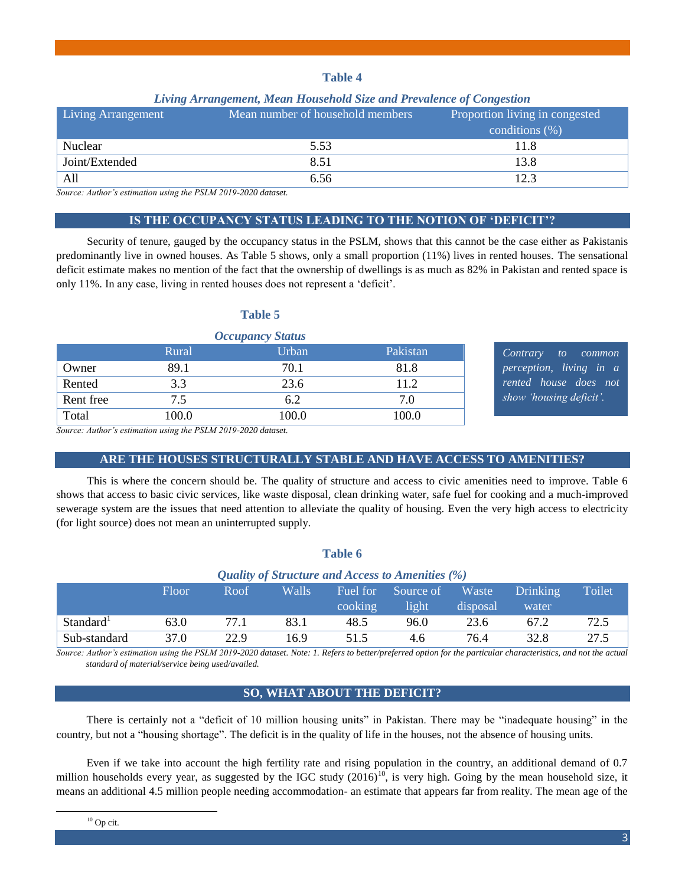# **Table 4**

# *Living Arrangement, Mean Household Size and Prevalence of Congestion*

| <b>Living Arrangement</b> | Mean number of household members | Proportion living in congested<br>conditions $(\%)$ |
|---------------------------|----------------------------------|-----------------------------------------------------|
| Nuclear                   | 5.53                             | 11.8                                                |
| Joint/Extended            | 8.51                             | 13.8                                                |
| All                       | 6.56                             | 12.3                                                |

*Source: Author's estimation using the PSLM 2019-2020 dataset.* 

# **IS THE OCCUPANCY STATUS LEADING TO THE NOTION OF 'DEFICIT'?**

Security of tenure, gauged by the occupancy status in the PSLM, shows that this cannot be the case either as Pakistanis predominantly live in owned houses. As Table 5 shows, only a small proportion (11%) lives in rented houses. The sensational deficit estimate makes no mention of the fact that the ownership of dwellings is as much as 82% in Pakistan and rented space is only 11%. In any case, living in rented houses does not represent a 'deficit'.

### **Table 5**

| <b>Occupancy Status</b> |       |       |          |  |
|-------------------------|-------|-------|----------|--|
|                         | Rural | Urban | Pakistan |  |
| Owner                   | 89.1  | 70.1  | 81.8     |  |
| Rented                  | 3.3   | 23.6  | 11.2     |  |
| Rent free               | 7.5   | 6.2   | 7.0      |  |
| Total                   | 100.0 | 100.0 | 100.0    |  |

*Contrary to common perception, living in a rented house does not show 'housing deficit'.*

*Source: Author's estimation using the PSLM 2019-2020 dataset.* 

# **ARE THE HOUSES STRUCTURALLY STABLE AND HAVE ACCESS TO AMENITIES?**

This is where the concern should be. The quality of structure and access to civic amenities need to improve. Table 6 shows that access to basic civic services, like waste disposal, clean drinking water, safe fuel for cooking and a much-improved sewerage system are the issues that need attention to alleviate the quality of housing. Even the very high access to electricity (for light source) does not mean an uninterrupted supply.

# **Table 6**

| <b>Quality of Structure and Access to Amenities (%)</b> |       |      |       |          |           |          |          |        |
|---------------------------------------------------------|-------|------|-------|----------|-----------|----------|----------|--------|
|                                                         | Floor | Roof | Walls | Fuel for | Source of | Waste    | Drinking | Toilet |
|                                                         |       |      |       | cooking  | light     | disposal | water    |        |
| Standard <sup>1</sup>                                   | 63.0  | 77.1 | 83.1  | 48.5     | 96.0      | 23.6     | 67.2     | 72.5   |
| Sub-standard                                            | 37.0  | 22.9 | 16.9  | 51.5     | 4.6       | 76.4     | 32.8     | 27.5   |

*Source: Author's estimation using the PSLM 2019-2020 dataset. Note: 1. Refers to better/preferred option for the particular characteristics, and not the actual standard of material/service being used/availed.* 

# **SO, WHAT ABOUT THE DEFICIT?**

There is certainly not a "deficit of 10 million housing units" in Pakistan. There may be "inadequate housing" in the country, but not a "housing shortage". The deficit is in the quality of life in the houses, not the absence of housing units.

Even if we take into account the high fertility rate and rising population in the country, an additional demand of 0.7 million households every year, as suggested by the IGC study  $(2016)^{10}$ , is very high. Going by the mean household size, it means an additional 4.5 million people needing accommodation- an estimate that appears far from reality. The mean age of the

<sup>10</sup> Op cit.

 $\ddot{\phantom{a}}$